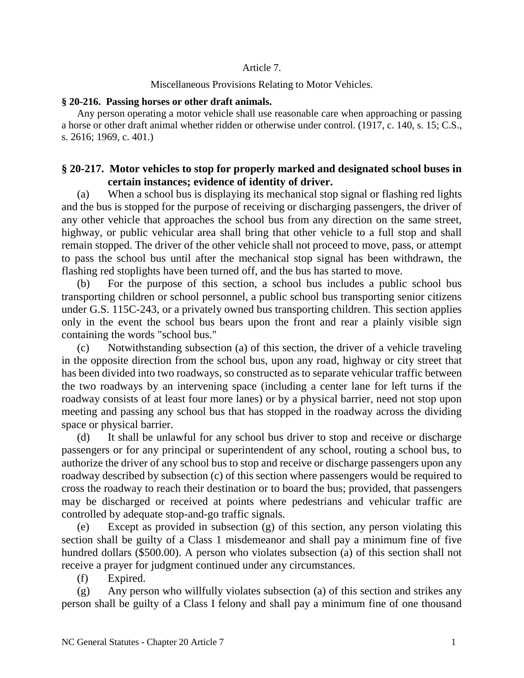# Article 7.

# Miscellaneous Provisions Relating to Motor Vehicles.

# **§ 20-216. Passing horses or other draft animals.**

Any person operating a motor vehicle shall use reasonable care when approaching or passing a horse or other draft animal whether ridden or otherwise under control. (1917, c. 140, s. 15; C.S., s. 2616; 1969, c. 401.)

# **§ 20-217. Motor vehicles to stop for properly marked and designated school buses in certain instances; evidence of identity of driver.**

(a) When a school bus is displaying its mechanical stop signal or flashing red lights and the bus is stopped for the purpose of receiving or discharging passengers, the driver of any other vehicle that approaches the school bus from any direction on the same street, highway, or public vehicular area shall bring that other vehicle to a full stop and shall remain stopped. The driver of the other vehicle shall not proceed to move, pass, or attempt to pass the school bus until after the mechanical stop signal has been withdrawn, the flashing red stoplights have been turned off, and the bus has started to move.

(b) For the purpose of this section, a school bus includes a public school bus transporting children or school personnel, a public school bus transporting senior citizens under G.S. 115C-243, or a privately owned bus transporting children. This section applies only in the event the school bus bears upon the front and rear a plainly visible sign containing the words "school bus."

(c) Notwithstanding subsection (a) of this section, the driver of a vehicle traveling in the opposite direction from the school bus, upon any road, highway or city street that has been divided into two roadways, so constructed as to separate vehicular traffic between the two roadways by an intervening space (including a center lane for left turns if the roadway consists of at least four more lanes) or by a physical barrier, need not stop upon meeting and passing any school bus that has stopped in the roadway across the dividing space or physical barrier.

(d) It shall be unlawful for any school bus driver to stop and receive or discharge passengers or for any principal or superintendent of any school, routing a school bus, to authorize the driver of any school bus to stop and receive or discharge passengers upon any roadway described by subsection (c) of this section where passengers would be required to cross the roadway to reach their destination or to board the bus; provided, that passengers may be discharged or received at points where pedestrians and vehicular traffic are controlled by adequate stop-and-go traffic signals.

(e) Except as provided in subsection (g) of this section, any person violating this section shall be guilty of a Class 1 misdemeanor and shall pay a minimum fine of five hundred dollars (\$500.00). A person who violates subsection (a) of this section shall not receive a prayer for judgment continued under any circumstances.

(f) Expired.

(g) Any person who willfully violates subsection (a) of this section and strikes any person shall be guilty of a Class I felony and shall pay a minimum fine of one thousand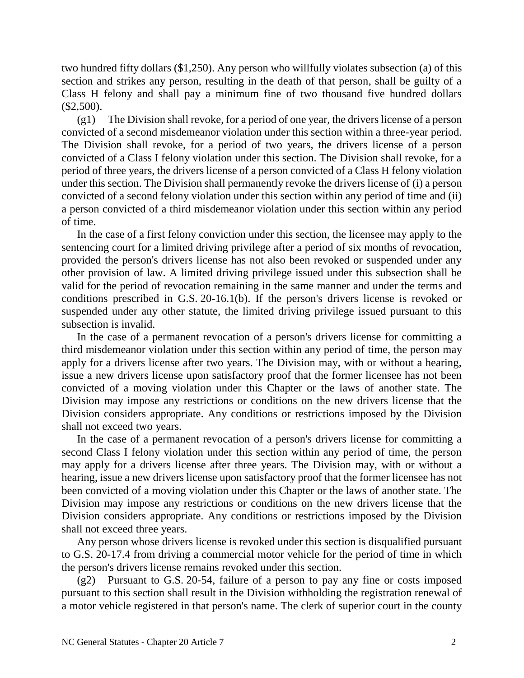two hundred fifty dollars (\$1,250). Any person who willfully violates subsection (a) of this section and strikes any person, resulting in the death of that person, shall be guilty of a Class H felony and shall pay a minimum fine of two thousand five hundred dollars  $$2,500$ ).

(g1) The Division shall revoke, for a period of one year, the drivers license of a person convicted of a second misdemeanor violation under this section within a three-year period. The Division shall revoke, for a period of two years, the drivers license of a person convicted of a Class I felony violation under this section. The Division shall revoke, for a period of three years, the drivers license of a person convicted of a Class H felony violation under this section. The Division shall permanently revoke the drivers license of (i) a person convicted of a second felony violation under this section within any period of time and (ii) a person convicted of a third misdemeanor violation under this section within any period of time.

In the case of a first felony conviction under this section, the licensee may apply to the sentencing court for a limited driving privilege after a period of six months of revocation, provided the person's drivers license has not also been revoked or suspended under any other provision of law. A limited driving privilege issued under this subsection shall be valid for the period of revocation remaining in the same manner and under the terms and conditions prescribed in G.S. 20-16.1(b). If the person's drivers license is revoked or suspended under any other statute, the limited driving privilege issued pursuant to this subsection is invalid.

In the case of a permanent revocation of a person's drivers license for committing a third misdemeanor violation under this section within any period of time, the person may apply for a drivers license after two years. The Division may, with or without a hearing, issue a new drivers license upon satisfactory proof that the former licensee has not been convicted of a moving violation under this Chapter or the laws of another state. The Division may impose any restrictions or conditions on the new drivers license that the Division considers appropriate. Any conditions or restrictions imposed by the Division shall not exceed two years.

In the case of a permanent revocation of a person's drivers license for committing a second Class I felony violation under this section within any period of time, the person may apply for a drivers license after three years. The Division may, with or without a hearing, issue a new drivers license upon satisfactory proof that the former licensee has not been convicted of a moving violation under this Chapter or the laws of another state. The Division may impose any restrictions or conditions on the new drivers license that the Division considers appropriate. Any conditions or restrictions imposed by the Division shall not exceed three years.

Any person whose drivers license is revoked under this section is disqualified pursuant to G.S. 20-17.4 from driving a commercial motor vehicle for the period of time in which the person's drivers license remains revoked under this section.

(g2) Pursuant to G.S. 20-54, failure of a person to pay any fine or costs imposed pursuant to this section shall result in the Division withholding the registration renewal of a motor vehicle registered in that person's name. The clerk of superior court in the county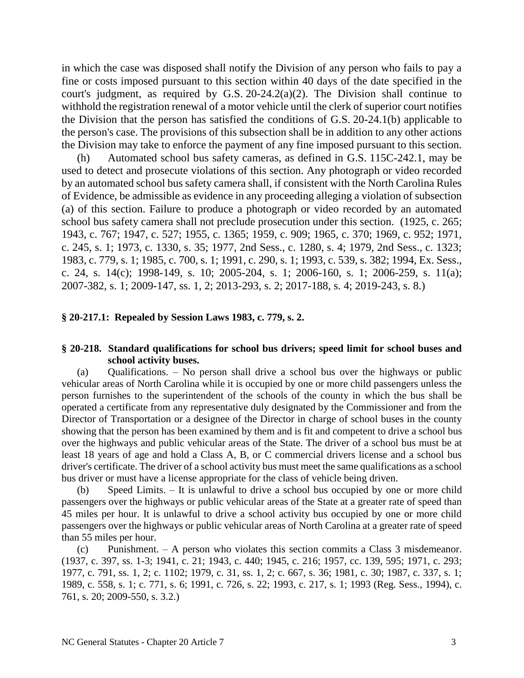in which the case was disposed shall notify the Division of any person who fails to pay a fine or costs imposed pursuant to this section within 40 days of the date specified in the court's judgment, as required by G.S. 20-24.2(a)(2). The Division shall continue to withhold the registration renewal of a motor vehicle until the clerk of superior court notifies the Division that the person has satisfied the conditions of G.S. 20-24.1(b) applicable to the person's case. The provisions of this subsection shall be in addition to any other actions the Division may take to enforce the payment of any fine imposed pursuant to this section.

(h) Automated school bus safety cameras, as defined in G.S. 115C-242.1, may be used to detect and prosecute violations of this section. Any photograph or video recorded by an automated school bus safety camera shall, if consistent with the North Carolina Rules of Evidence, be admissible as evidence in any proceeding alleging a violation of subsection (a) of this section. Failure to produce a photograph or video recorded by an automated school bus safety camera shall not preclude prosecution under this section. (1925, c. 265; 1943, c. 767; 1947, c. 527; 1955, c. 1365; 1959, c. 909; 1965, c. 370; 1969, c. 952; 1971, c. 245, s. 1; 1973, c. 1330, s. 35; 1977, 2nd Sess., c. 1280, s. 4; 1979, 2nd Sess., c. 1323; 1983, c. 779, s. 1; 1985, c. 700, s. 1; 1991, c. 290, s. 1; 1993, c. 539, s. 382; 1994, Ex. Sess., c. 24, s. 14(c); 1998-149, s. 10; 2005-204, s. 1; 2006-160, s. 1; 2006-259, s. 11(a); 2007-382, s. 1; 2009-147, ss. 1, 2; 2013-293, s. 2; 2017-188, s. 4; 2019-243, s. 8.)

## **§ 20-217.1: Repealed by Session Laws 1983, c. 779, s. 2.**

#### **§ 20-218. Standard qualifications for school bus drivers; speed limit for school buses and school activity buses.**

(a) Qualifications. – No person shall drive a school bus over the highways or public vehicular areas of North Carolina while it is occupied by one or more child passengers unless the person furnishes to the superintendent of the schools of the county in which the bus shall be operated a certificate from any representative duly designated by the Commissioner and from the Director of Transportation or a designee of the Director in charge of school buses in the county showing that the person has been examined by them and is fit and competent to drive a school bus over the highways and public vehicular areas of the State. The driver of a school bus must be at least 18 years of age and hold a Class A, B, or C commercial drivers license and a school bus driver's certificate. The driver of a school activity bus must meet the same qualifications as a school bus driver or must have a license appropriate for the class of vehicle being driven.

(b) Speed Limits. – It is unlawful to drive a school bus occupied by one or more child passengers over the highways or public vehicular areas of the State at a greater rate of speed than 45 miles per hour. It is unlawful to drive a school activity bus occupied by one or more child passengers over the highways or public vehicular areas of North Carolina at a greater rate of speed than 55 miles per hour.

(c) Punishment. – A person who violates this section commits a Class 3 misdemeanor. (1937, c. 397, ss. 1-3; 1941, c. 21; 1943, c. 440; 1945, c. 216; 1957, cc. 139, 595; 1971, c. 293; 1977, c. 791, ss. 1, 2; c. 1102; 1979, c. 31, ss. 1, 2; c. 667, s. 36; 1981, c. 30; 1987, c. 337, s. 1; 1989, c. 558, s. 1; c. 771, s. 6; 1991, c. 726, s. 22; 1993, c. 217, s. 1; 1993 (Reg. Sess., 1994), c. 761, s. 20; 2009-550, s. 3.2.)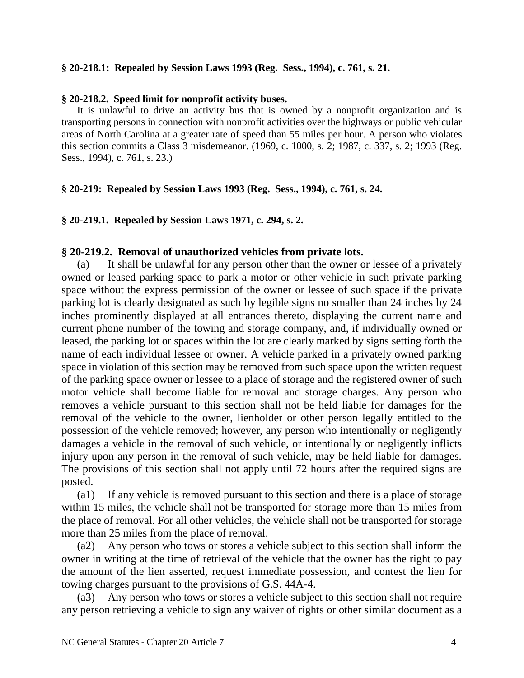#### **§ 20-218.1: Repealed by Session Laws 1993 (Reg. Sess., 1994), c. 761, s. 21.**

#### **§ 20-218.2. Speed limit for nonprofit activity buses.**

It is unlawful to drive an activity bus that is owned by a nonprofit organization and is transporting persons in connection with nonprofit activities over the highways or public vehicular areas of North Carolina at a greater rate of speed than 55 miles per hour. A person who violates this section commits a Class 3 misdemeanor. (1969, c. 1000, s. 2; 1987, c. 337, s. 2; 1993 (Reg. Sess., 1994), c. 761, s. 23.)

#### **§ 20-219: Repealed by Session Laws 1993 (Reg. Sess., 1994), c. 761, s. 24.**

**§ 20-219.1. Repealed by Session Laws 1971, c. 294, s. 2.**

## **§ 20-219.2. Removal of unauthorized vehicles from private lots.**

It shall be unlawful for any person other than the owner or lessee of a privately owned or leased parking space to park a motor or other vehicle in such private parking space without the express permission of the owner or lessee of such space if the private parking lot is clearly designated as such by legible signs no smaller than 24 inches by 24 inches prominently displayed at all entrances thereto, displaying the current name and current phone number of the towing and storage company, and, if individually owned or leased, the parking lot or spaces within the lot are clearly marked by signs setting forth the name of each individual lessee or owner. A vehicle parked in a privately owned parking space in violation of this section may be removed from such space upon the written request of the parking space owner or lessee to a place of storage and the registered owner of such motor vehicle shall become liable for removal and storage charges. Any person who removes a vehicle pursuant to this section shall not be held liable for damages for the removal of the vehicle to the owner, lienholder or other person legally entitled to the possession of the vehicle removed; however, any person who intentionally or negligently damages a vehicle in the removal of such vehicle, or intentionally or negligently inflicts injury upon any person in the removal of such vehicle, may be held liable for damages. The provisions of this section shall not apply until 72 hours after the required signs are posted.

(a1) If any vehicle is removed pursuant to this section and there is a place of storage within 15 miles, the vehicle shall not be transported for storage more than 15 miles from the place of removal. For all other vehicles, the vehicle shall not be transported for storage more than 25 miles from the place of removal.

(a2) Any person who tows or stores a vehicle subject to this section shall inform the owner in writing at the time of retrieval of the vehicle that the owner has the right to pay the amount of the lien asserted, request immediate possession, and contest the lien for towing charges pursuant to the provisions of G.S. 44A-4.

(a3) Any person who tows or stores a vehicle subject to this section shall not require any person retrieving a vehicle to sign any waiver of rights or other similar document as a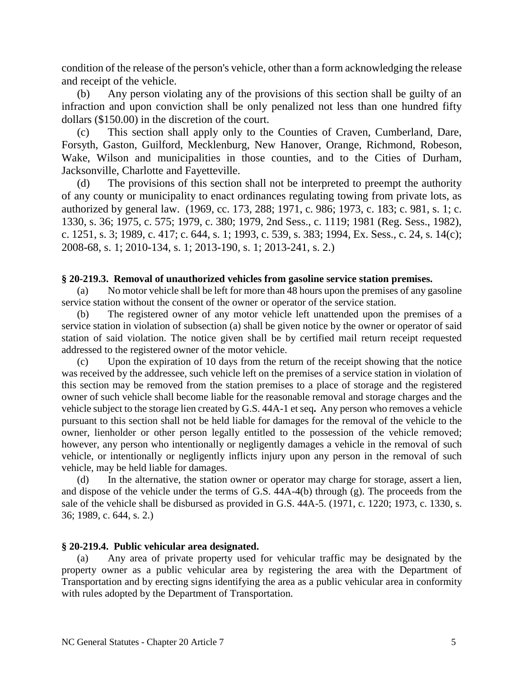condition of the release of the person's vehicle, other than a form acknowledging the release and receipt of the vehicle.

(b) Any person violating any of the provisions of this section shall be guilty of an infraction and upon conviction shall be only penalized not less than one hundred fifty dollars (\$150.00) in the discretion of the court.

(c) This section shall apply only to the Counties of Craven, Cumberland, Dare, Forsyth, Gaston, Guilford, Mecklenburg, New Hanover, Orange, Richmond, Robeson, Wake, Wilson and municipalities in those counties, and to the Cities of Durham, Jacksonville, Charlotte and Fayetteville.

(d) The provisions of this section shall not be interpreted to preempt the authority of any county or municipality to enact ordinances regulating towing from private lots, as authorized by general law. (1969, cc. 173, 288; 1971, c. 986; 1973, c. 183; c. 981, s. 1; c. 1330, s. 36; 1975, c. 575; 1979, c. 380; 1979, 2nd Sess., c. 1119; 1981 (Reg. Sess., 1982), c. 1251, s. 3; 1989, c. 417; c. 644, s. 1; 1993, c. 539, s. 383; 1994, Ex. Sess., c. 24, s. 14(c); 2008-68, s. 1; 2010-134, s. 1; 2013-190, s. 1; 2013-241, s. 2.)

## **§ 20-219.3. Removal of unauthorized vehicles from gasoline service station premises.**

(a) No motor vehicle shall be left for more than 48 hours upon the premises of any gasoline service station without the consent of the owner or operator of the service station.

(b) The registered owner of any motor vehicle left unattended upon the premises of a service station in violation of subsection (a) shall be given notice by the owner or operator of said station of said violation. The notice given shall be by certified mail return receipt requested addressed to the registered owner of the motor vehicle.

(c) Upon the expiration of 10 days from the return of the receipt showing that the notice was received by the addressee, such vehicle left on the premises of a service station in violation of this section may be removed from the station premises to a place of storage and the registered owner of such vehicle shall become liable for the reasonable removal and storage charges and the vehicle subject to the storage lien created by G.S. 44A-1 et seq**.** Any person who removes a vehicle pursuant to this section shall not be held liable for damages for the removal of the vehicle to the owner, lienholder or other person legally entitled to the possession of the vehicle removed; however, any person who intentionally or negligently damages a vehicle in the removal of such vehicle, or intentionally or negligently inflicts injury upon any person in the removal of such vehicle, may be held liable for damages.

(d) In the alternative, the station owner or operator may charge for storage, assert a lien, and dispose of the vehicle under the terms of G.S. 44A-4(b) through (g). The proceeds from the sale of the vehicle shall be disbursed as provided in G.S. 44A-5. (1971, c. 1220; 1973, c. 1330, s. 36; 1989, c. 644, s. 2.)

## **§ 20-219.4. Public vehicular area designated.**

(a) Any area of private property used for vehicular traffic may be designated by the property owner as a public vehicular area by registering the area with the Department of Transportation and by erecting signs identifying the area as a public vehicular area in conformity with rules adopted by the Department of Transportation.